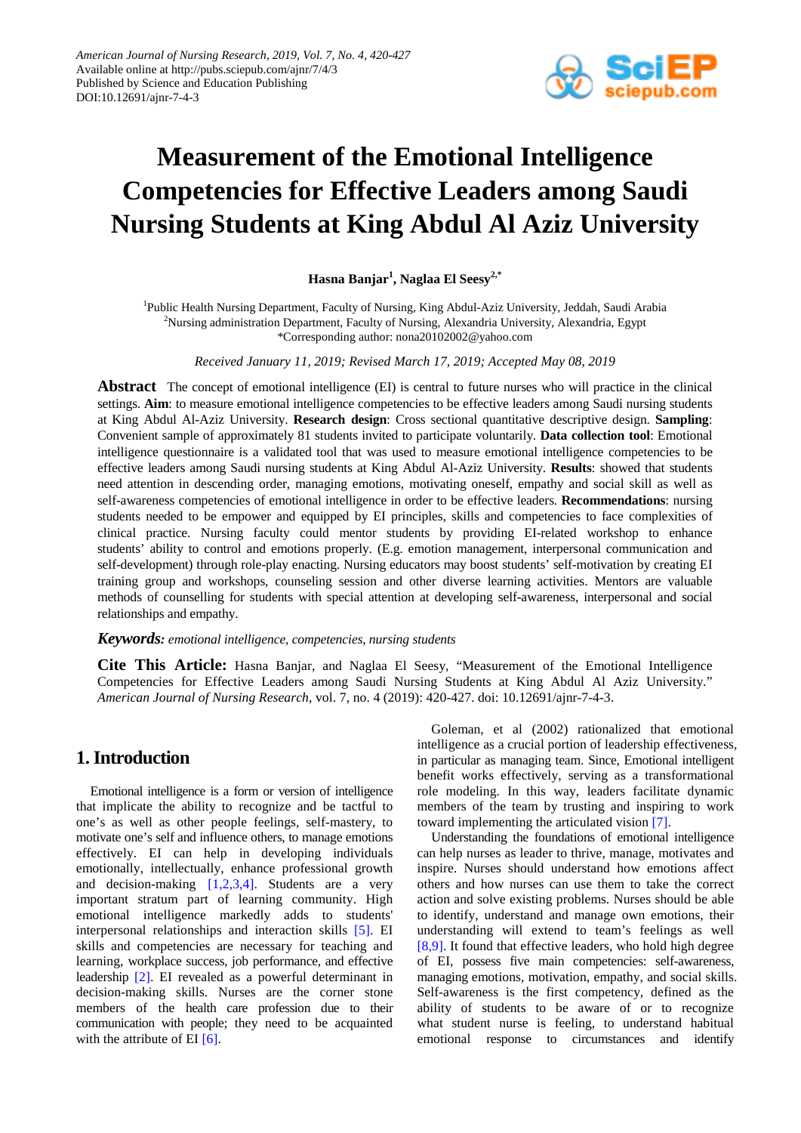

# **Measurement of the Emotional Intelligence Competencies for Effective Leaders among Saudi Nursing Students at King Abdul Al Aziz University**

**Hasna Banjar<sup>1</sup> , Naglaa El Seesy2,\***

<sup>1</sup>Public Health Nursing Department, Faculty of Nursing, King Abdul-Aziz University, Jeddah, Saudi Arabia <sup>2</sup>Nursing administration Department, Faculty of Nursing, Alexandria University, Alexandria, Egypt \*Corresponding author: nona20102002@yahoo.com

*Received January 11, 2019; Revised March 17, 2019; Accepted May 08, 2019*

**Abstract** The concept of emotional intelligence (EI) is central to future nurses who will practice in the clinical settings. **Aim**: to measure emotional intelligence competencies to be effective leaders among Saudi nursing students at King Abdul Al-Aziz University. **Research design**: Cross sectional quantitative descriptive design. **Sampling**: Convenient sample of approximately 81 students invited to participate voluntarily. **Data collection tool**: Emotional intelligence questionnaire is a validated tool that was used to measure emotional intelligence competencies to be effective leaders among Saudi nursing students at King Abdul Al-Aziz University. **Results**: showed that students need attention in descending order, managing emotions, motivating oneself, empathy and social skill as well as self-awareness competencies of emotional intelligence in order to be effective leaders. **Recommendations**: nursing students needed to be empower and equipped by EI principles, skills and competencies to face complexities of clinical practice. Nursing faculty could mentor students by providing EI-related workshop to enhance students' ability to control and emotions properly. (E.g. emotion management, interpersonal communication and self-development) through role-play enacting. Nursing educators may boost students' self-motivation by creating EI training group and workshops, counseling session and other diverse learning activities. Mentors are valuable methods of counselling for students with special attention at developing self-awareness, interpersonal and social relationships and empathy.

*Keywords: emotional intelligence, competencies, nursing students*

**Cite This Article:** Hasna Banjar, and Naglaa El Seesy, "Measurement of the Emotional Intelligence Competencies for Effective Leaders among Saudi Nursing Students at King Abdul Al Aziz University." *American Journal of Nursing Research*, vol. 7, no. 4 (2019): 420-427. doi: 10.12691/ajnr-7-4-3.

# **1. Introduction**

Emotional intelligence is a form or version of intelligence that implicate the ability to recognize and be tactful to one's as well as other people feelings, self-mastery, to motivate one's self and influence others, to manage emotions effectively. EI can help in developing individuals emotionally, intellectually, enhance professional growth and decision-making [\[1,2,3,4\].](#page-6-0) Students are a very important stratum part of learning community. High emotional intelligence markedly adds to students' interpersonal relationships and interaction skills [\[5\].](#page-6-1) EI skills and competencies are necessary for teaching and learning, workplace success, job performance, and effective leadership [\[2\].](#page-6-2) EI revealed as a powerful determinant in decision-making skills. Nurses are the corner stone members of the health care profession due to their communication with people; they need to be acquainted with the attribute of EI [\[6\].](#page-6-3)

Goleman, et al (2002) rationalized that emotional intelligence as a crucial portion of leadership effectiveness, in particular as managing team. Since, Emotional intelligent benefit works effectively, serving as a transformational role modeling. In this way, leaders facilitate dynamic members of the team by trusting and inspiring to work toward implementing the articulated vision [\[7\].](#page-6-4)

Understanding the foundations of emotional intelligence can help nurses as leader to thrive, manage, motivates and inspire. Nurses should understand how emotions affect others and how nurses can use them to take the correct action and solve existing problems. Nurses should be able to identify, understand and manage own emotions, their understanding will extend to team's feelings as well [\[8,9\].](#page-6-5) It found that effective leaders, who hold high degree of EI, possess five main competencies: self-awareness, managing emotions, motivation, empathy, and social skills. Self-awareness is the first competency, defined as the ability of students to be aware of or to recognize what student nurse is feeling, to understand habitual emotional response to circumstances and identify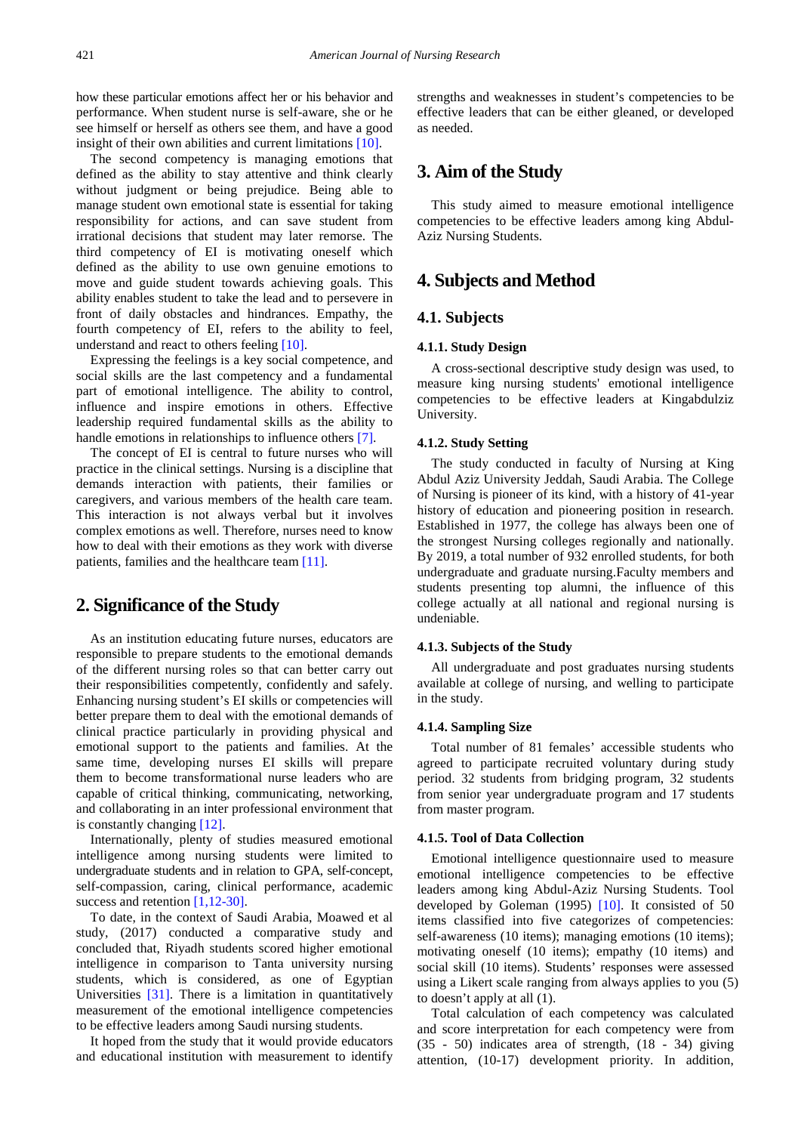how these particular emotions affect her or his behavior and performance. When student nurse is self-aware, she or he see himself or herself as others see them, and have a good insight of their own abilities and current limitations [\[10\].](#page-6-6)

The second competency is managing emotions that defined as the ability to stay attentive and think clearly without judgment or being prejudice. Being able to manage student own emotional state is essential for taking responsibility for actions, and can save student from irrational decisions that student may later remorse. The third competency of EI is motivating oneself which defined as the ability to use own genuine emotions to move and guide student towards achieving goals. This ability enables student to take the lead and to persevere in front of daily obstacles and hindrances. Empathy, the fourth competency of EI, refers to the ability to feel, understand and react to others feeling [\[10\].](#page-6-6)

Expressing the feelings is a key social competence, and social skills are the last competency and a fundamental part of emotional intelligence. The ability to control, influence and inspire emotions in others. Effective leadership required fundamental skills as the ability to handle emotions in relationships to influence others [7].

The concept of EI is central to future nurses who will practice in the clinical settings. Nursing is a discipline that demands interaction with patients, their families or caregivers, and various members of the health care team. This interaction is not always verbal but it involves complex emotions as well. Therefore, nurses need to know how to deal with their emotions as they work with diverse patients, families and the healthcare tea[m \[11\].](#page-6-7)

# **2. Significance of the Study**

As an institution educating future nurses, educators are responsible to prepare students to the emotional demands of the different nursing roles so that can better carry out their responsibilities competently, confidently and safely. Enhancing nursing student's EI skills or competencies will better prepare them to deal with the emotional demands of clinical practice particularly in providing physical and emotional support to the patients and families. At the same time, developing nurses EI skills will prepare them to become transformational nurse leaders who are capable of critical thinking, communicating, networking, and collaborating in an inter professional environment that is constantly changing [\[12\].](#page-6-8) 

Internationally, plenty of studies measured emotional intelligence among nursing students were limited to undergraduate students and in relation to GPA, self-concept, self-compassion, caring, clinical performance, academic success and retention [\[1,12-30\].](#page-6-0)

To date, in the context of Saudi Arabia, Moawed et al study, (2017) conducted a comparative study and concluded that, Riyadh students scored higher emotional intelligence in comparison to Tanta university nursing students, which is considered, as one of Egyptian Universities [\[31\].](#page-7-0) There is a limitation in quantitatively measurement of the emotional intelligence competencies to be effective leaders among Saudi nursing students.

It hoped from the study that it would provide educators and educational institution with measurement to identify strengths and weaknesses in student's competencies to be effective leaders that can be either gleaned, or developed as needed.

# **3. Aim of the Study**

This study aimed to measure emotional intelligence competencies to be effective leaders among king Abdul-Aziz Nursing Students.

# **4. Subjects and Method**

## **4.1. Subjects**

#### **4.1.1. Study Design**

A cross-sectional descriptive study design was used, to measure king nursing students' emotional intelligence competencies to be effective leaders at Kingabdulziz University.

#### **4.1.2. Study Setting**

The study conducted in faculty of Nursing at King Abdul Aziz University Jeddah, Saudi Arabia. The College of Nursing is pioneer of its kind, with a history of 41-year history of education and pioneering position in research. Established in 1977, the college has always been one of the strongest Nursing colleges regionally and nationally. By 2019, a total number of 932 enrolled students, for both undergraduate and graduate nursing.Faculty members and students presenting top alumni, the influence of this college actually at all national and regional nursing is undeniable.

#### **4.1.3. Subjects of the Study**

All undergraduate and post graduates nursing students available at college of nursing, and welling to participate in the study.

#### **4.1.4. Sampling Size**

Total number of 81 females' accessible students who agreed to participate recruited voluntary during study period. 32 students from bridging program, 32 students from senior year undergraduate program and 17 students from master program.

#### **4.1.5. Tool of Data Collection**

Emotional intelligence questionnaire used to measure emotional intelligence competencies to be effective leaders among king Abdul-Aziz Nursing Students. Tool developed by Goleman (1995) [\[10\].](#page-6-6) It consisted of 50 items classified into five categorizes of competencies: self-awareness (10 items); managing emotions (10 items); motivating oneself (10 items); empathy (10 items) and social skill (10 items). Students' responses were assessed using a Likert scale ranging from always applies to you (5) to doesn't apply at all (1).

Total calculation of each competency was calculated and score interpretation for each competency were from (35 - 50) indicates area of strength, (18 - 34) giving attention, (10-17) development priority. In addition,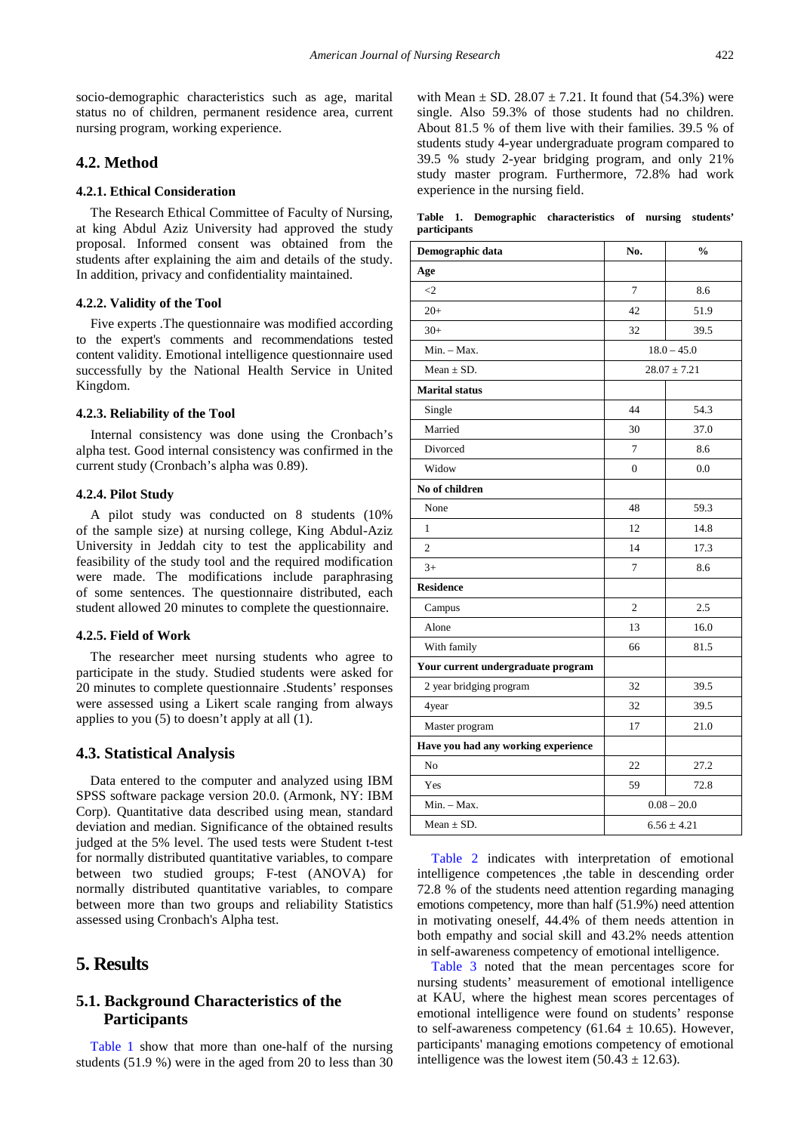socio-demographic characteristics such as age, marital status no of children, permanent residence area, current nursing program, working experience.

## **4.2. Method**

#### **4.2.1. Ethical Consideration**

The Research Ethical Committee of Faculty of Nursing, at king Abdul Aziz University had approved the study proposal. Informed consent was obtained from the students after explaining the aim and details of the study. In addition, privacy and confidentiality maintained.

#### **4.2.2. Validity of the Tool**

Five experts .The questionnaire was modified according to the expert's comments and recommendations tested content validity. Emotional intelligence questionnaire used successfully by the National Health Service in United Kingdom.

#### **4.2.3. Reliability of the Tool**

Internal consistency was done using the Cronbach's alpha test. Good internal consistency was confirmed in the current study (Cronbach's alpha was 0.89).

#### **4.2.4. Pilot Study**

A pilot study was conducted on 8 students (10% of the sample size) at nursing college, King Abdul-Aziz University in Jeddah city to test the applicability and feasibility of the study tool and the required modification were made. The modifications include paraphrasing of some sentences. The questionnaire distributed, each student allowed 20 minutes to complete the questionnaire.

#### **4.2.5. Field of Work**

The researcher meet nursing students who agree to participate in the study. Studied students were asked for 20 minutes to complete questionnaire .Students' responses were assessed using a Likert scale ranging from always applies to you (5) to doesn't apply at all (1).

#### **4.3. Statistical Analysis**

Data entered to the computer and analyzed using IBM SPSS software package version 20.0. (Armonk, NY: IBM Corp). Quantitative data described using mean, standard deviation and median. Significance of the obtained results judged at the 5% level. The used tests were Student t-test for normally distributed quantitative variables, to compare between two studied groups; F-test (ANOVA) for normally distributed quantitative variables, to compare between more than two groups and reliability Statistics assessed using Cronbach's Alpha test.

## **5. Results**

## **5.1. Background Characteristics of the Participants**

[Table 1](#page-2-0) show that more than one-half of the nursing students (51.9 %) were in the aged from 20 to less than 30 with Mean  $\pm$  SD. 28.07  $\pm$  7.21. It found that (54.3%) were single. Also 59.3% of those students had no children. About 81.5 % of them live with their families. 39.5 % of students study 4-year undergraduate program compared to 39.5 % study 2-year bridging program, and only 21% study master program. Furthermore, 72.8% had work experience in the nursing field.

**Table 1. Demographic characteristics of nursing students' participants**

<span id="page-2-0"></span>

| Demographic data                    | No.              | $\frac{0}{0}$ |  |
|-------------------------------------|------------------|---------------|--|
| Age                                 |                  |               |  |
| $\leq$ 2                            | 7                | 8.6           |  |
| $20+$                               | 42               | 51.9          |  |
| $30+$                               | 32               | 39.5          |  |
| $Min. - Max.$                       |                  | $18.0 - 45.0$ |  |
| Mean $\pm$ SD.                      | $28.07 \pm 7.21$ |               |  |
| <b>Marital</b> status               |                  |               |  |
| Single                              | 44               | 54.3          |  |
| Married                             | 30               | 37.0          |  |
| Divorced                            | 7                | 8.6           |  |
| Widow                               | $\mathbf{0}$     | 0.0           |  |
| No of children                      |                  |               |  |
| None                                | 48               | 59.3          |  |
| $\mathbf{1}$                        | 12               | 14.8          |  |
| $\overline{c}$                      | 14               | 17.3          |  |
| $3+$                                | 7                | 8.6           |  |
| <b>Residence</b>                    |                  |               |  |
| Campus                              | $\overline{c}$   | 2.5           |  |
| Alone                               | 13               | 16.0          |  |
| With family                         | 66               | 81.5          |  |
| Your current undergraduate program  |                  |               |  |
| 2 year bridging program             | 32               | 39.5          |  |
| 4year                               | 32               | 39.5          |  |
| Master program                      | 17               | 21.0          |  |
| Have you had any working experience |                  |               |  |
| No                                  | 22               | 27.2          |  |
| Yes                                 | 59               | 72.8          |  |
| Min. - Max.                         | $0.08 - 20.0$    |               |  |
| Mean $\pm$ SD.                      | $6.56 \pm 4.21$  |               |  |

[Table 2](#page-3-0) indicates with interpretation of emotional intelligence competences ,the table in descending order 72.8 % of the students need attention regarding managing emotions competency, more than half (51.9%) need attention in motivating oneself, 44.4% of them needs attention in both empathy and social skill and 43.2% needs attention in self-awareness competency of emotional intelligence.

[Table 3](#page-3-1) noted that the mean percentages score for nursing students' measurement of emotional intelligence at KAU, where the highest mean scores percentages of emotional intelligence were found on students' response to self-awareness competency (61.64  $\pm$  10.65). However, participants' managing emotions competency of emotional intelligence was the lowest item  $(50.43 \pm 12.63)$ .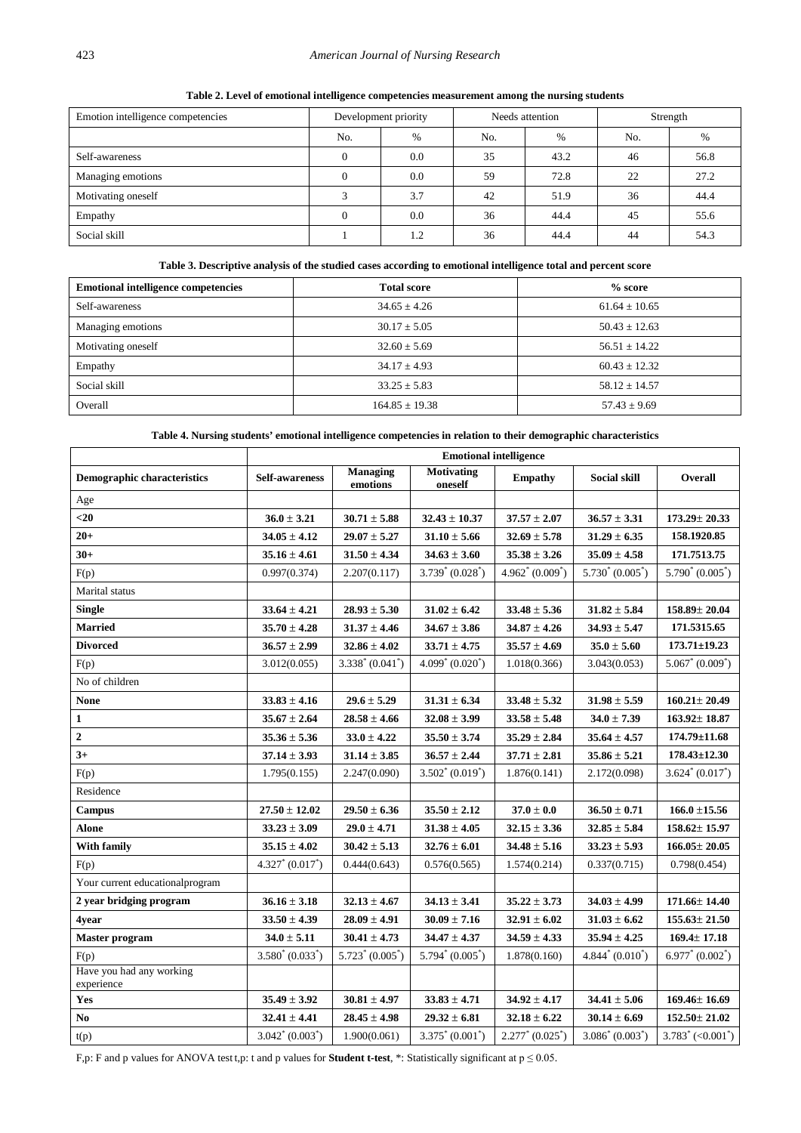<span id="page-3-0"></span>

| Emotion intelligence competencies | Development priority |      | Needs attention |      | Strength |      |
|-----------------------------------|----------------------|------|-----------------|------|----------|------|
|                                   | No.                  | $\%$ | No.             | $\%$ | No.      | %    |
| Self-awareness                    |                      | 0.0  | 35              | 43.2 | 46       | 56.8 |
| Managing emotions                 |                      | 0.0  | 59              | 72.8 | 22       | 27.2 |
| Motivating oneself                |                      | 3.7  | 42              | 51.9 | 36       | 44.4 |
| Empathy                           |                      | 0.0  | 36              | 44.4 | 45       | 55.6 |
| Social skill                      |                      | 1.2  | 36              | 44.4 | 44       | 54.3 |

**Table 2. Level of emotional intelligence competencies measurement among the nursing students** 

## **Table 3. Descriptive analysis of the studied cases according to emotional intelligence total and percent score**

<span id="page-3-1"></span>

| <b>Emotional intelligence competencies</b> | <b>Total score</b> | $% \overline{)}$ score |
|--------------------------------------------|--------------------|------------------------|
| Self-awareness                             | $34.65 \pm 4.26$   | $61.64 \pm 10.65$      |
| Managing emotions                          | $30.17 \pm 5.05$   | $50.43 \pm 12.63$      |
| Motivating oneself                         | $32.60 \pm 5.69$   | $56.51 + 14.22$        |
| Empathy                                    | $34.17 + 4.93$     | $60.43 + 12.32$        |
| Social skill                               | $33.25 \pm 5.83$   | $58.12 \pm 14.57$      |
| Overall                                    | $164.85 \pm 19.38$ | $57.43 \pm 9.69$       |

**Table 4. Nursing students' emotional intelligence competencies in relation to their demographic characteristics**

<span id="page-3-2"></span>

|                                        | <b>Emotional intelligence</b> |                             |                              |                     |                     |                                  |
|----------------------------------------|-------------------------------|-----------------------------|------------------------------|---------------------|---------------------|----------------------------------|
| <b>Demographic characteristics</b>     | <b>Self-awareness</b>         | <b>Managing</b><br>emotions | <b>Motivating</b><br>oneself | <b>Empathy</b>      | <b>Social skill</b> | Overall                          |
| Age                                    |                               |                             |                              |                     |                     |                                  |
| $20$                                   | $36.0 \pm 3.21$               | $30.71 \pm 5.88$            | $32.43 \pm 10.37$            | $37.57 \pm 2.07$    | $36.57 \pm 3.31$    | $173.29 \pm 20.33$               |
| $20+$                                  | $34.05 \pm 4.12$              | $29.07 \pm 5.27$            | $31.10 \pm 5.66$             | $32.69 \pm 5.78$    | $31.29 \pm 6.35$    | 158.1920.85                      |
| $30+$                                  | $35.16 \pm 4.61$              | $31.50 \pm 4.34$            | $34.63 \pm 3.60$             | $35.38 \pm 3.26$    | $35.09 \pm 4.58$    | 171.7513.75                      |
| F(p)                                   | 0.997(0.374)                  | 2.207(0.117)                | $3.739^* (0.028^*)$          | $4.962^* (0.009^*)$ | $5.730^* (0.005^*)$ | $5.790^* (0.005^*)$              |
| Marital status                         |                               |                             |                              |                     |                     |                                  |
| <b>Single</b>                          | $33.64 \pm 4.21$              | $28.93 \pm 5.30$            | $31.02 \pm 6.42$             | $33.48 \pm 5.36$    | $31.82 \pm 5.84$    | $158.89 \pm 20.04$               |
| <b>Married</b>                         | $35.70 \pm 4.28$              | $31.37 \pm 4.46$            | $34.67 \pm 3.86$             | $34.87 \pm 4.26$    | $34.93 \pm 5.47$    | 171.5315.65                      |
| <b>Divorced</b>                        | $36.57 \pm 2.99$              | $32.86 \pm 4.02$            | $33.71 \pm 4.75$             | $35.57 \pm 4.69$    | $35.0 \pm 5.60$     | $173.71 \pm 19.23$               |
| F(p)                                   | 3.012(0.055)                  | $3.338^* (0.041^*)$         | $4.099^* (0.020^*)$          | 1.018(0.366)        | 3.043(0.053)        | $5.067^* (0.009^*)$              |
| No of children                         |                               |                             |                              |                     |                     |                                  |
| <b>None</b>                            | $33.83 \pm 4.16$              | $29.6 \pm 5.29$             | $31.31 \pm 6.34$             | $33.48 \pm 5.32$    | $31.98 \pm 5.59$    | $160.21 \pm 20.49$               |
| $\mathbf{1}$                           | $35.67 \pm 2.64$              | $28.58 \pm 4.66$            | $32.08 \pm 3.99$             | $33.58 \pm 5.48$    | $34.0 \pm 7.39$     | $163.92 \pm 18.87$               |
| $\mathbf 2$                            | $35.36 \pm 5.36$              | $33.0 \pm 4.22$             | $35.50 \pm 3.74$             | $35.29 \pm 2.84$    | $35.64 \pm 4.57$    | $174.79 \pm 11.68$               |
| $3+$                                   | $37.14 \pm 3.93$              | $31.14 \pm 3.85$            | $36.57 \pm 2.44$             | $37.71 \pm 2.81$    | $35.86 \pm 5.21$    | $178.43 \pm 12.30$               |
| F(p)                                   | 1.795(0.155)                  | 2.247(0.090)                | $3.502^* (0.019^*)$          | 1.876(0.141)        | 2.172(0.098)        | $3.624^* (0.017^*)$              |
| Residence                              |                               |                             |                              |                     |                     |                                  |
| Campus                                 | $27.50 \pm 12.02$             | $29.50 \pm 6.36$            | $35.50 \pm 2.12$             | $37.0 \pm 0.0$      | $36.50 \pm 0.71$    | $166.0 \pm 15.56$                |
| <b>Alone</b>                           | $33.23 \pm 3.09$              | $29.0 \pm 4.71$             | $31.38 \pm 4.05$             | $32.15 \pm 3.36$    | $32.85 \pm 5.84$    | $158.62 \pm 15.97$               |
| <b>With family</b>                     | $35.15 \pm 4.02$              | $30.42 \pm 5.13$            | $32.76 \pm 6.01$             | $34.48 \pm 5.16$    | $33.23 \pm 5.93$    | $166.05 \pm 20.05$               |
| F(p)                                   | $4.327^* (0.017^*)$           | 0.444(0.643)                | 0.576(0.565)                 | 1.574(0.214)        | 0.337(0.715)        | 0.798(0.454)                     |
| Your current educational program       |                               |                             |                              |                     |                     |                                  |
| 2 year bridging program                | $36.16 \pm 3.18$              | $32.13 \pm 4.67$            | $34.13 \pm 3.41$             | $35.22 \pm 3.73$    | $34.03 \pm 4.99$    | $171.66 \pm 14.40$               |
| 4year                                  | $33.50 \pm 4.39$              | $28.09 \pm 4.91$            | $30.09 \pm 7.16$             | $32.91 \pm 6.02$    | $31.03 \pm 6.62$    | $155.63 \pm 21.50$               |
| <b>Master program</b>                  | $34.0 \pm 5.11$               | $30.41 \pm 4.73$            | $34.47 \pm 4.37$             | $34.59 \pm 4.33$    | $35.94 \pm 4.25$    | $169.4 \pm 17.18$                |
| F(p)                                   | $3.580^* (0.033^*)$           | $5.723^* (0.005^*)$         | $5.794^* (0.005^*)$          | 1.878(0.160)        | $4.844^* (0.010^*)$ | $6.977^* (0.002^*)$              |
| Have you had any working<br>experience |                               |                             |                              |                     |                     |                                  |
| Yes                                    | $35.49 \pm 3.92$              | $30.81 \pm 4.97$            | $33.83 \pm 4.71$             | $34.92 \pm 4.17$    | $34.41 \pm 5.06$    | $169.46 \pm 16.69$               |
| No.                                    | $32.41 \pm 4.41$              | $28.45 \pm 4.98$            | $29.32 \pm 6.81$             | $32.18 \pm 6.22$    | $30.14 \pm 6.69$    | $152.50 \pm 21.02$               |
| t(p)                                   | $3.042^* (0.003^*)$           | 1.900(0.061)                | $3.375^* (0.001^*)$          | $2.277^* (0.025^*)$ | $3.086^* (0.003^*)$ | $3.783^*$ (<0.001 <sup>*</sup> ) |

F,p: F and p values for ANOVA test t,p: t and p values for **Student t-test**, \*: Statistically significant at p ≤ 0.05.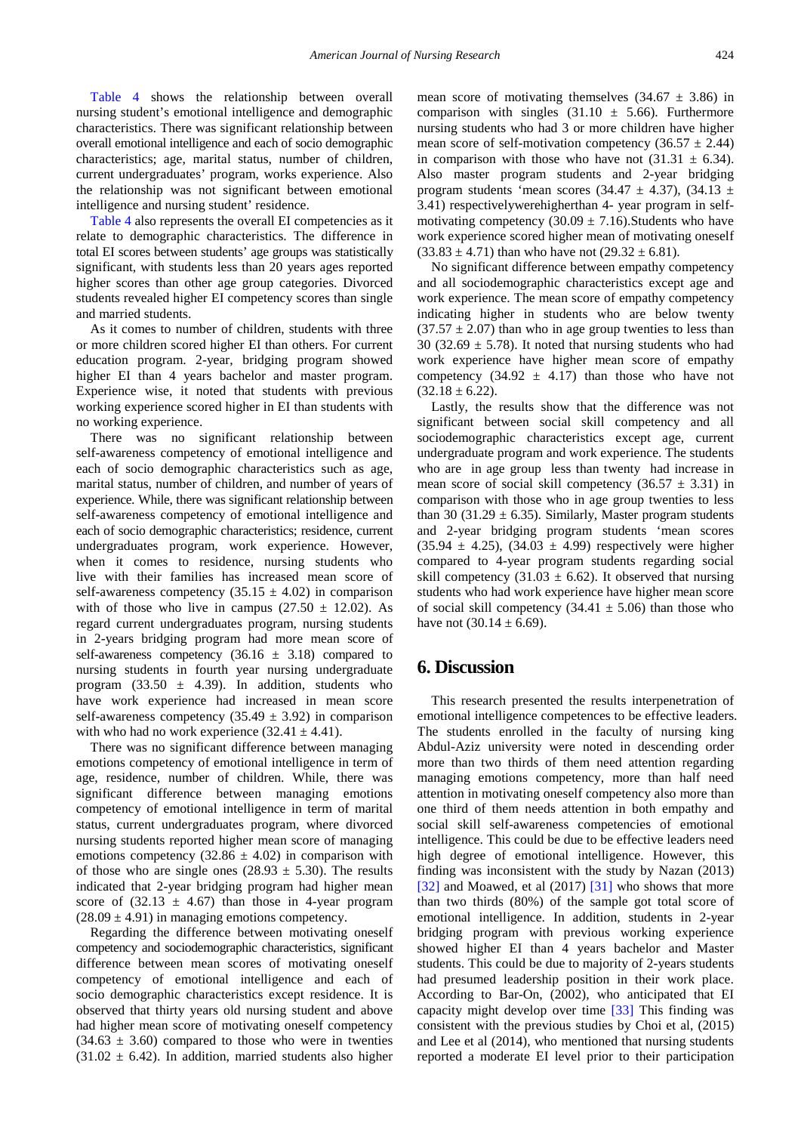[Table 4](#page-3-2) shows the relationship between overall nursing student's emotional intelligence and demographic characteristics. There was significant relationship between overall emotional intelligence and each of socio demographic characteristics; age, marital status, number of children, current undergraduates' program, works experience. Also the relationship was not significant between emotional intelligence and nursing student' residence.

[Table 4](#page-3-2) also represents the overall EI competencies as it relate to demographic characteristics. The difference in total EI scores between students' age groups was statistically significant, with students less than 20 years ages reported higher scores than other age group categories. Divorced students revealed higher EI competency scores than single and married students.

As it comes to number of children, students with three or more children scored higher EI than others. For current education program. 2-year, bridging program showed higher EI than 4 years bachelor and master program. Experience wise, it noted that students with previous working experience scored higher in EI than students with no working experience.

There was no significant relationship between self-awareness competency of emotional intelligence and each of socio demographic characteristics such as age, marital status, number of children, and number of years of experience. While, there was significant relationship between self-awareness competency of emotional intelligence and each of socio demographic characteristics; residence, current undergraduates program, work experience. However, when it comes to residence, nursing students who live with their families has increased mean score of self-awareness competency  $(35.15 \pm 4.02)$  in comparison with of those who live in campus  $(27.50 \pm 12.02)$ . As regard current undergraduates program, nursing students in 2-years bridging program had more mean score of self-awareness competency  $(36.16 \pm 3.18)$  compared to nursing students in fourth year nursing undergraduate program (33.50  $\pm$  4.39). In addition, students who have work experience had increased in mean score self-awareness competency  $(35.49 \pm 3.92)$  in comparison with who had no work experience  $(32.41 \pm 4.41)$ .

There was no significant difference between managing emotions competency of emotional intelligence in term of age, residence, number of children. While, there was significant difference between managing emotions competency of emotional intelligence in term of marital status, current undergraduates program, where divorced nursing students reported higher mean score of managing emotions competency  $(32.86 \pm 4.02)$  in comparison with of those who are single ones  $(28.93 \pm 5.30)$ . The results indicated that 2-year bridging program had higher mean score of  $(32.13 \pm 4.67)$  than those in 4-year program  $(28.09 \pm 4.91)$  in managing emotions competency.

Regarding the difference between motivating oneself competency and sociodemographic characteristics, significant difference between mean scores of motivating oneself competency of emotional intelligence and each of socio demographic characteristics except residence. It is observed that thirty years old nursing student and above had higher mean score of motivating oneself competency  $(34.63 \pm 3.60)$  compared to those who were in twenties  $(31.02 \pm 6.42)$ . In addition, married students also higher

mean score of motivating themselves  $(34.67 \pm 3.86)$  in comparison with singles  $(31.10 \pm 5.66)$ . Furthermore nursing students who had 3 or more children have higher mean score of self-motivation competency  $(36.57 \pm 2.44)$ in comparison with those who have not  $(31.31 \pm 6.34)$ . Also master program students and 2-year bridging program students 'mean scores (34.47  $\pm$  4.37), (34.13  $\pm$ 3.41) respectivelywerehigherthan 4- year program in selfmotivating competency  $(30.09 \pm 7.16)$ . Students who have work experience scored higher mean of motivating oneself  $(33.83 \pm 4.71)$  than who have not  $(29.32 \pm 6.81)$ .

No significant difference between empathy competency and all sociodemographic characteristics except age and work experience. The mean score of empathy competency indicating higher in students who are below twenty  $(37.57 \pm 2.07)$  than who in age group twenties to less than 30 (32.69  $\pm$  5.78). It noted that nursing students who had work experience have higher mean score of empathy competency  $(34.92 \pm 4.17)$  than those who have not  $(32.18 \pm 6.22)$ .

Lastly, the results show that the difference was not significant between social skill competency and all sociodemographic characteristics except age, current undergraduate program and work experience. The students who are in age group less than twenty had increase in mean score of social skill competency  $(36.57 \pm 3.31)$  in comparison with those who in age group twenties to less than 30 (31.29  $\pm$  6.35). Similarly, Master program students and 2-year bridging program students 'mean scores  $(35.94 \pm 4.25), (34.03 \pm 4.99)$  respectively were higher compared to 4-year program students regarding social skill competency (31.03  $\pm$  6.62). It observed that nursing students who had work experience have higher mean score of social skill competency  $(34.41 \pm 5.06)$  than those who have not  $(30.14 \pm 6.69)$ .

## **6. Discussion**

This research presented the results interpenetration of emotional intelligence competences to be effective leaders. The students enrolled in the faculty of nursing king Abdul-Aziz university were noted in descending order more than two thirds of them need attention regarding managing emotions competency, more than half need attention in motivating oneself competency also more than one third of them needs attention in both empathy and social skill self-awareness competencies of emotional intelligence. This could be due to be effective leaders need high degree of emotional intelligence. However, this finding was inconsistent with the study by Nazan (2013) [\[32\]](#page-7-1) and Moawed, et al (2017) [\[31\]](#page-7-0) who shows that more than two thirds (80%) of the sample got total score of emotional intelligence. In addition, students in 2-year bridging program with previous working experience showed higher EI than 4 years bachelor and Master students. This could be due to majority of 2-years students had presumed leadership position in their work place. According to Bar-On, (2002), who anticipated that EI capacity might develop over time [\[33\]](#page-7-2) This finding was consistent with the previous studies by Choi et al, (2015) and Lee et al (2014), who mentioned that nursing students reported a moderate EI level prior to their participation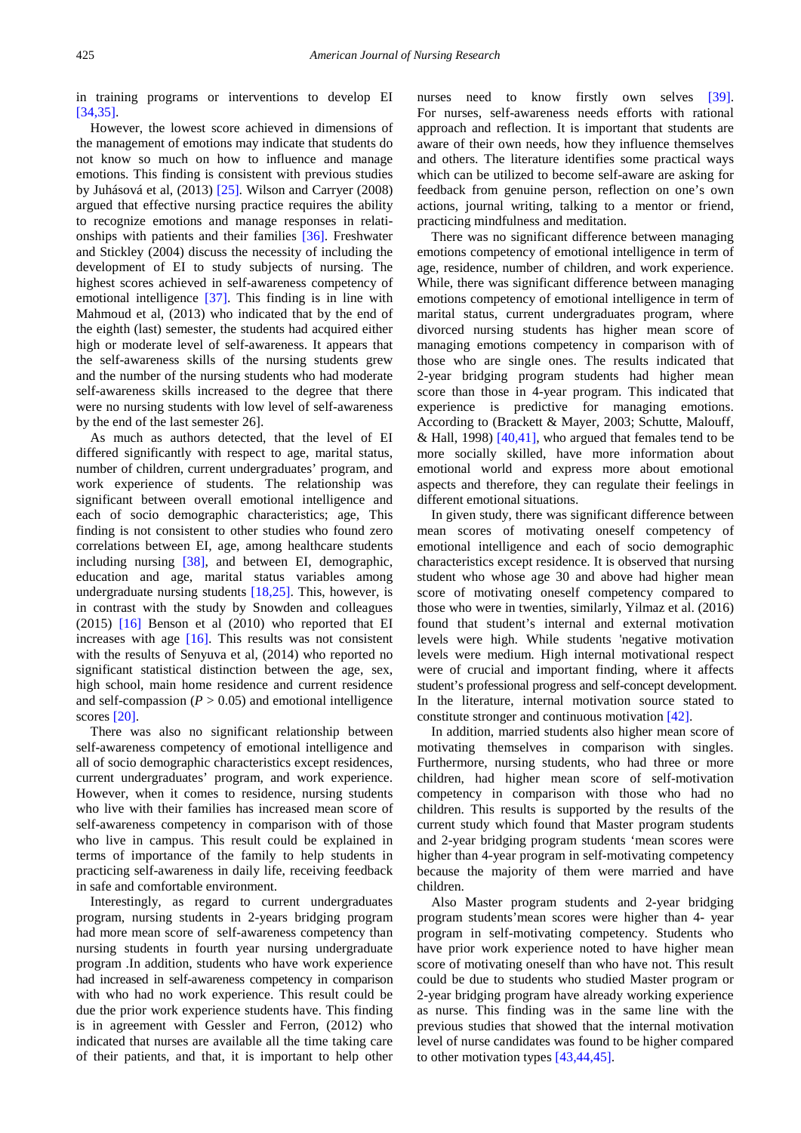in training programs or interventions to develop EI [\[34,35\].](#page-7-3)

However, the lowest score achieved in dimensions of the management of emotions may indicate that students do not know so much on how to influence and manage emotions. This finding is consistent with previous studies by Juhásová et al, (2013) [\[25\].](#page-7-4) Wilson and Carryer (2008) argued that effective nursing practice requires the ability to recognize emotions and manage responses in relationships with patients and their families [\[36\].](#page-7-5) Freshwater and Stickley (2004) discuss the necessity of including the development of EI to study subjects of nursing. The highest scores achieved in self-awareness competency of emotional intelligence [\[37\].](#page-7-6) This finding is in line with Mahmoud et al, (2013) who indicated that by the end of the eighth (last) semester, the students had acquired either high or moderate level of self-awareness. It appears that the self-awareness skills of the nursing students grew and the number of the nursing students who had moderate self-awareness skills increased to the degree that there were no nursing students with low level of self-awareness by the end of the last semester 26].

As much as authors detected, that the level of EI differed significantly with respect to age, marital status, number of children, current undergraduates' program, and work experience of students. The relationship was significant between overall emotional intelligence and each of socio demographic characteristics; age, This finding is not consistent to other studies who found zero correlations between EI, age, among healthcare students including nursing [\[38\],](#page-7-7) and between EI, demographic, education and age, marital status variables among undergraduate nursing students [\[18,25\].](#page-7-8) This, however, is in contrast with the study by Snowden and colleagues (2015) [\[16\]](#page-6-9) Benson et al (2010) who reported that EI increases with age [\[16\].](#page-6-9) This results was not consistent with the results of Senyuva et al, (2014) who reported no significant statistical distinction between the age, sex, high school, main home residence and current residence and self-compassion  $(P > 0.05)$  and emotional intelligence scores [\[20\].](#page-7-9)

There was also no significant relationship between self-awareness competency of emotional intelligence and all of socio demographic characteristics except residences, current undergraduates' program, and work experience. However, when it comes to residence, nursing students who live with their families has increased mean score of self-awareness competency in comparison with of those who live in campus. This result could be explained in terms of importance of the family to help students in practicing self-awareness in daily life, receiving feedback in safe and comfortable environment.

Interestingly, as regard to current undergraduates program, nursing students in 2-years bridging program had more mean score of self-awareness competency than nursing students in fourth year nursing undergraduate program .In addition, students who have work experience had increased in self-awareness competency in comparison with who had no work experience. This result could be due the prior work experience students have. This finding is in agreement with Gessler and Ferron, (2012) who indicated that nurses are available all the time taking care of their patients, and that, it is important to help other nurses need to know firstly own selves [\[39\].](#page-7-10) For nurses, self-awareness needs efforts with rational approach and reflection. It is important that students are aware of their own needs, how they influence themselves and others. The literature identifies some practical ways which can be utilized to become self-aware are asking for feedback from genuine person, reflection on one's own actions, journal writing, talking to a mentor or friend, practicing mindfulness and meditation.

There was no significant difference between managing emotions competency of emotional intelligence in term of age, residence, number of children, and work experience. While, there was significant difference between managing emotions competency of emotional intelligence in term of marital status, current undergraduates program, where divorced nursing students has higher mean score of managing emotions competency in comparison with of those who are single ones. The results indicated that 2-year bridging program students had higher mean score than those in 4-year program. This indicated that experience is predictive for managing emotions. According to (Brackett & Mayer, 2003; Schutte, Malouff, & Hall, 1998)  $[40,41]$ , who argued that females tend to be more socially skilled, have more information about emotional world and express more about emotional aspects and therefore, they can regulate their feelings in different emotional situations.

In given study, there was significant difference between mean scores of motivating oneself competency of emotional intelligence and each of socio demographic characteristics except residence. It is observed that nursing student who whose age 30 and above had higher mean score of motivating oneself competency compared to those who were in twenties, similarly, Yilmaz et al. (2016) found that student's internal and external motivation levels were high. While students 'negative motivation levels were medium. High internal motivational respect were of crucial and important finding, where it affects student's professional progress and self-concept development. In the literature, internal motivation source stated to constitute stronger and continuous motivation [\[42\].](#page-7-12)

In addition, married students also higher mean score of motivating themselves in comparison with singles. Furthermore, nursing students, who had three or more children, had higher mean score of self-motivation competency in comparison with those who had no children. This results is supported by the results of the current study which found that Master program students and 2-year bridging program students 'mean scores were higher than 4-year program in self-motivating competency because the majority of them were married and have children.

Also Master program students and 2-year bridging program students'mean scores were higher than 4- year program in self-motivating competency. Students who have prior work experience noted to have higher mean score of motivating oneself than who have not. This result could be due to students who studied Master program or 2-year bridging program have already working experience as nurse. This finding was in the same line with the previous studies that showed that the internal motivation level of nurse candidates was found to be higher compared to other motivation types [\[43,44,45\].](#page-7-13)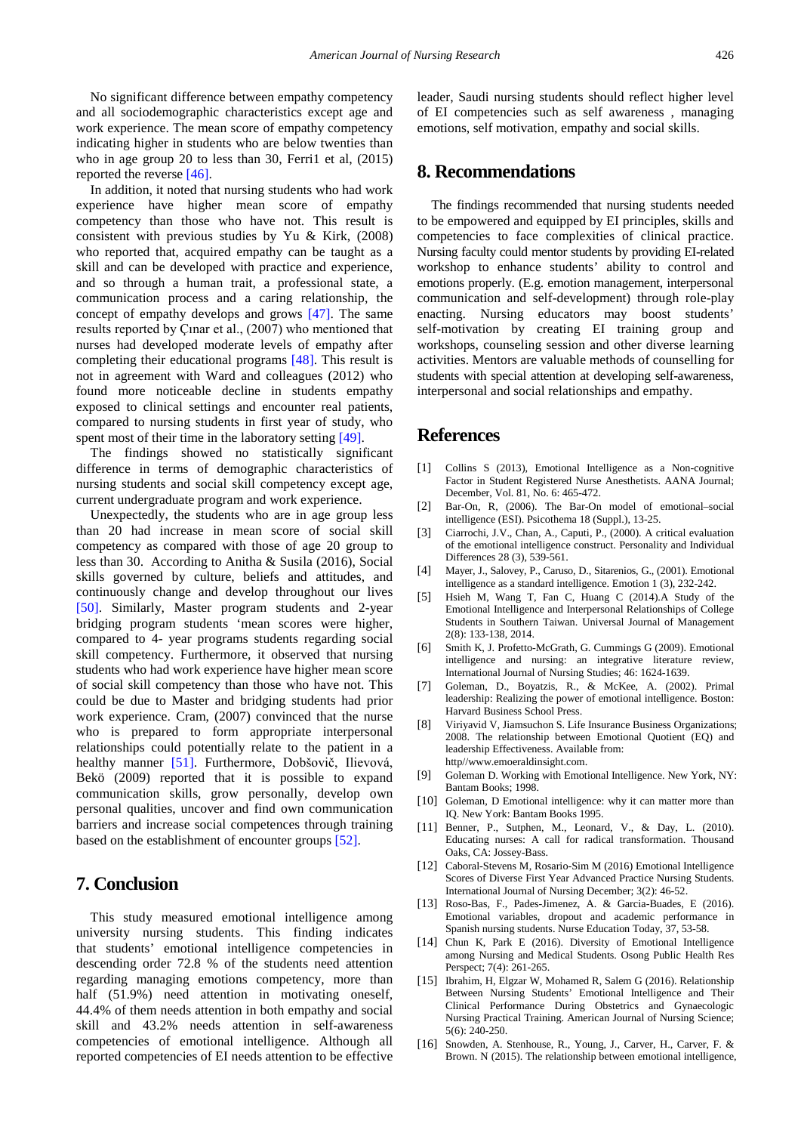No significant difference between empathy competency and all sociodemographic characteristics except age and work experience. The mean score of empathy competency indicating higher in students who are below twenties than who in age group 20 to less than 30, Ferri1 et al,  $(2015)$ reported the reverse [\[46\].](#page-7-14)

In addition, it noted that nursing students who had work experience have higher mean score of empathy competency than those who have not. This result is consistent with previous studies by Yu & Kirk, (2008) who reported that, acquired empathy can be taught as a skill and can be developed with practice and experience, and so through a human trait, a professional state, a communication process and a caring relationship, the concept of empathy develops and grows [\[47\].](#page-7-15) The same results reported by Çınar et al., (2007) who mentioned that nurses had developed moderate levels of empathy after completing their educational programs [\[48\].](#page-7-16) This result is not in agreement with Ward and colleagues (2012) who found more noticeable decline in students empathy exposed to clinical settings and encounter real patients, compared to nursing students in first year of study, who spent most of their time in the laboratory setting [\[49\].](#page-7-17)

The findings showed no statistically significant difference in terms of demographic characteristics of nursing students and social skill competency except age, current undergraduate program and work experience.

Unexpectedly, the students who are in age group less than 20 had increase in mean score of social skill competency as compared with those of age 20 group to less than 30. According to Anitha & Susila (2016), Social skills governed by culture, beliefs and attitudes, and continuously change and develop throughout our lives [\[50\].](#page-7-18) Similarly, Master program students and 2-year bridging program students 'mean scores were higher, compared to 4- year programs students regarding social skill competency. Furthermore, it observed that nursing students who had work experience have higher mean score of social skill competency than those who have not. This could be due to Master and bridging students had prior work experience. Cram, (2007) convinced that the nurse who is prepared to form appropriate interpersonal relationships could potentially relate to the patient in a healthy manner [\[51\].](#page-7-19) Furthermore, Dobšovič, Ilievová, Bekö (2009) reported that it is possible to expand communication skills, grow personally, develop own personal qualities, uncover and find own communication barriers and increase social competences through training based on the establishment of encounter groups [\[52\].](#page-7-20)

# **7. Conclusion**

This study measured emotional intelligence among university nursing students. This finding indicates that students' emotional intelligence competencies in descending order 72.8 % of the students need attention regarding managing emotions competency, more than half (51.9%) need attention in motivating oneself, 44.4% of them needs attention in both empathy and social skill and 43.2% needs attention in self-awareness competencies of emotional intelligence. Although all reported competencies of EI needs attention to be effective leader, Saudi nursing students should reflect higher level of EI competencies such as self awareness , managing emotions, self motivation, empathy and social skills.

# **8. Recommendations**

The findings recommended that nursing students needed to be empowered and equipped by EI principles, skills and competencies to face complexities of clinical practice. Nursing faculty could mentor students by providing EI-related workshop to enhance students' ability to control and emotions properly. (E.g. emotion management, interpersonal communication and self-development) through role-play enacting. Nursing educators may boost students' self-motivation by creating EI training group and workshops, counseling session and other diverse learning activities. Mentors are valuable methods of counselling for students with special attention at developing self-awareness, interpersonal and social relationships and empathy.

## **References**

- <span id="page-6-0"></span>[1] Collins S (2013), Emotional Intelligence as a Non-cognitive Factor in Student Registered Nurse Anesthetists. AANA Journal; December, Vol. 81, No. 6: 465-472.
- <span id="page-6-2"></span>[2] Bar-On, R, (2006). The Bar-On model of emotional–social intelligence (ESI). Psicothema 18 (Suppl.), 13-25.
- [3] Ciarrochi, J.V., Chan, A., Caputi, P., (2000). A critical evaluation of the emotional intelligence construct. Personality and Individual Differences 28 (3), 539-561.
- [4] Mayer, J., Salovey, P., Caruso, D., Sitarenios, G., (2001). Emotional intelligence as a standard intelligence. Emotion 1 (3), 232-242.
- <span id="page-6-1"></span>[5] Hsieh M, Wang T, Fan C, Huang C (2014).A Study of the Emotional Intelligence and Interpersonal Relationships of College Students in Southern Taiwan. Universal Journal of Management 2(8): 133-138, 2014.
- <span id="page-6-3"></span>[6] Smith K, J. Profetto-McGrath, G. Cummings G (2009). Emotional intelligence and nursing: an integrative literature review, International Journal of Nursing Studies; 46: 1624-1639.
- <span id="page-6-4"></span>[7] Goleman, D., Boyatzis, R., & McKee, A. (2002). Primal leadership: Realizing the power of emotional intelligence. Boston: Harvard Business School Press.
- <span id="page-6-5"></span>[8] Viriyavid V, Jiamsuchon S. Life Insurance Business Organizations; 2008. The relationship between Emotional Quotient (EQ) and leadership Effectiveness. Available from: http//www.emoeraldinsight.com.
- [9] Goleman D. Working with Emotional Intelligence. New York, NY: Bantam Books; 1998.
- <span id="page-6-6"></span>[10] Goleman, D Emotional intelligence: why it can matter more than IQ. New York: Bantam Books 1995.
- <span id="page-6-7"></span>[11] Benner, P., Sutphen, M., Leonard, V., & Day, L. (2010). Educating nurses: A call for radical transformation. Thousand Oaks, CA: Jossey-Bass.
- <span id="page-6-8"></span>[12] Caboral-Stevens M, Rosario-Sim M (2016) Emotional Intelligence Scores of Diverse First Year Advanced Practice Nursing Students. International Journal of Nursing December; 3(2): 46-52.
- [13] Roso-Bas, F., Pades-Jimenez, A. & Garcia-Buades, E (2016). Emotional variables, dropout and academic performance in Spanish nursing students. Nurse Education Today, 37, 53-58.
- [14] Chun K, Park E (2016). Diversity of Emotional Intelligence among Nursing and Medical Students. Osong Public Health Res Perspect; 7(4): 261-265.
- [15] Ibrahim, H, Elgzar W, Mohamed R, Salem G (2016). Relationship Between Nursing Students' Emotional Intelligence and Their Clinical Performance During Obstetrics and Gynaecologic Nursing Practical Training. American Journal of Nursing Science; 5(6): 240-250.
- <span id="page-6-9"></span>[16] Snowden, A. Stenhouse, R., Young, J., Carver, H., Carver, F. & Brown. N (2015). The relationship between emotional intelligence,